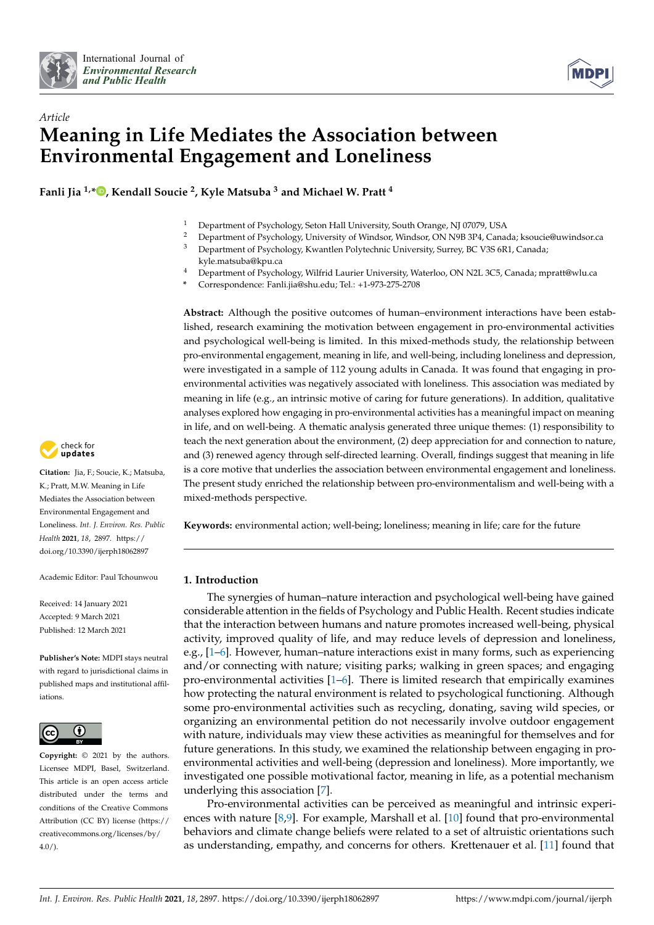



# *Article* **Meaning in Life Mediates the Association between Environmental Engagement and Loneliness**

**Fanli Jia 1,[\\*](https://orcid.org/0000-0002-7149-455X) , Kendall Soucie <sup>2</sup> , Kyle Matsuba <sup>3</sup> and Michael W. Pratt <sup>4</sup>**

- <sup>1</sup> Department of Psychology, Seton Hall University, South Orange, NJ 07079, USA<br><sup>2</sup> Department of Psychology, University of Window Window ON N0P 2P4, Cana
- <sup>2</sup> Department of Psychology, University of Windsor, Windsor, ON N9B 3P4, Canada; ksoucie@uwindsor.ca<br><sup>3</sup> Department of Psychology, Kusantlen Polytechnic University Surrey, BC V2S 6P1, Canada.
- <sup>3</sup> Department of Psychology, Kwantlen Polytechnic University, Surrey, BC V3S 6R1, Canada; kyle.matsuba@kpu.ca
- <sup>4</sup> Department of Psychology, Wilfrid Laurier University, Waterloo, ON N2L 3C5, Canada; mpratt@wlu.ca
- **\*** Correspondence: Fanli.jia@shu.edu; Tel.: +1-973-275-2708

**Abstract:** Although the positive outcomes of human–environment interactions have been established, research examining the motivation between engagement in pro-environmental activities and psychological well-being is limited. In this mixed-methods study, the relationship between pro-environmental engagement, meaning in life, and well-being, including loneliness and depression, were investigated in a sample of 112 young adults in Canada. It was found that engaging in proenvironmental activities was negatively associated with loneliness. This association was mediated by meaning in life (e.g., an intrinsic motive of caring for future generations). In addition, qualitative analyses explored how engaging in pro-environmental activities has a meaningful impact on meaning in life, and on well-being. A thematic analysis generated three unique themes: (1) responsibility to teach the next generation about the environment, (2) deep appreciation for and connection to nature, and (3) renewed agency through self-directed learning. Overall, findings suggest that meaning in life is a core motive that underlies the association between environmental engagement and loneliness. The present study enriched the relationship between pro-environmentalism and well-being with a mixed-methods perspective.

**Keywords:** environmental action; well-being; loneliness; meaning in life; care for the future

# **1. Introduction**

The synergies of human–nature interaction and psychological well-being have gained considerable attention in the fields of Psychology and Public Health. Recent studies indicate that the interaction between humans and nature promotes increased well-being, physical activity, improved quality of life, and may reduce levels of depression and loneliness, e.g., [\[1](#page-9-0)[–6\]](#page-9-1). However, human–nature interactions exist in many forms, such as experiencing and/or connecting with nature; visiting parks; walking in green spaces; and engaging pro-environmental activities  $[1-6]$  $[1-6]$ . There is limited research that empirically examines how protecting the natural environment is related to psychological functioning. Although some pro-environmental activities such as recycling, donating, saving wild species, or organizing an environmental petition do not necessarily involve outdoor engagement with nature, individuals may view these activities as meaningful for themselves and for future generations. In this study, we examined the relationship between engaging in proenvironmental activities and well-being (depression and loneliness). More importantly, we investigated one possible motivational factor, meaning in life, as a potential mechanism underlying this association [\[7\]](#page-9-2).

Pro-environmental activities can be perceived as meaningful and intrinsic experiences with nature [\[8](#page-9-3)[,9\]](#page-9-4). For example, Marshall et al. [\[10\]](#page-9-5) found that pro-environmental behaviors and climate change beliefs were related to a set of altruistic orientations such as understanding, empathy, and concerns for others. Krettenauer et al. [\[11\]](#page-9-6) found that



**Citation:** Jia, F.; Soucie, K.; Matsuba, K.; Pratt, M.W. Meaning in Life Mediates the Association between Environmental Engagement and Loneliness. *Int. J. Environ. Res. Public Health* **2021**, *18*, 2897. [https://](https://doi.org/10.3390/ijerph18062897) [doi.org/10.3390/ijerph18062897](https://doi.org/10.3390/ijerph18062897)

Academic Editor: Paul Tchounwou

Received: 14 January 2021 Accepted: 9 March 2021 Published: 12 March 2021

**Publisher's Note:** MDPI stays neutral with regard to jurisdictional claims in published maps and institutional affiliations.



**Copyright:** © 2021 by the authors. Licensee MDPI, Basel, Switzerland. This article is an open access article distributed under the terms and conditions of the Creative Commons Attribution (CC BY) license (https:/[/](https://creativecommons.org/licenses/by/4.0/) [creativecommons.org/licenses/by/](https://creativecommons.org/licenses/by/4.0/)  $4.0/$ ).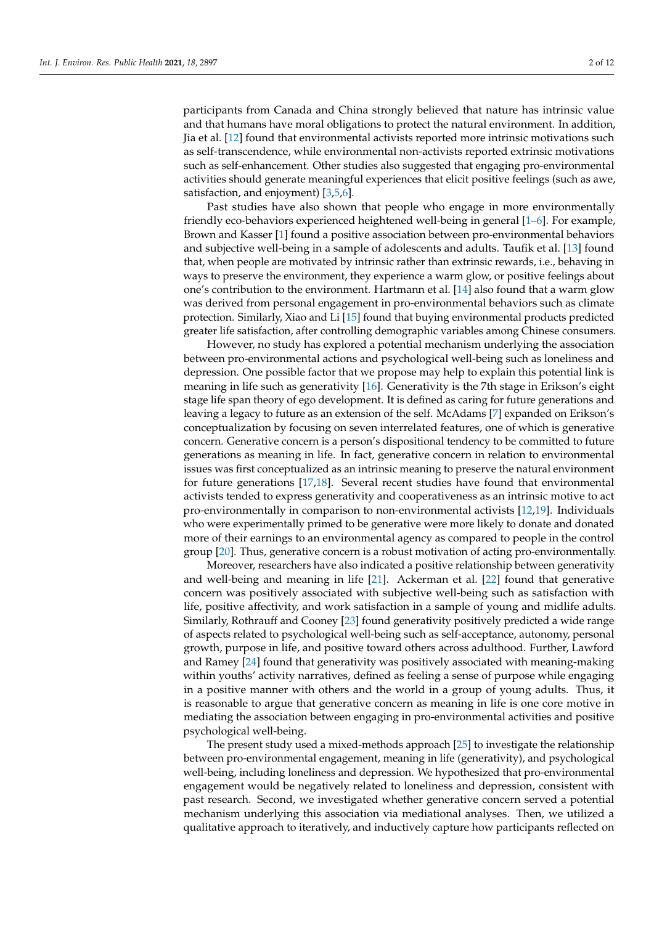participants from Canada and China strongly believed that nature has intrinsic value and that humans have moral obligations to protect the natural environment. In addition, Jia et al. [\[12\]](#page-9-7) found that environmental activists reported more intrinsic motivations such as self-transcendence, while environmental non-activists reported extrinsic motivations such as self-enhancement. Other studies also suggested that engaging pro-environmental activities should generate meaningful experiences that elicit positive feelings (such as awe, satisfaction, and enjoyment) [\[3](#page-9-8)[,5](#page-9-9)[,6\]](#page-9-1).

Past studies have also shown that people who engage in more environmentally friendly eco-behaviors experienced heightened well-being in general [\[1–](#page-9-0)[6\]](#page-9-1). For example, Brown and Kasser [\[1\]](#page-9-0) found a positive association between pro-environmental behaviors and subjective well-being in a sample of adolescents and adults. Taufik et al. [\[13\]](#page-9-10) found that, when people are motivated by intrinsic rather than extrinsic rewards, i.e., behaving in ways to preserve the environment, they experience a warm glow, or positive feelings about one's contribution to the environment. Hartmann et al. [\[14\]](#page-9-11) also found that a warm glow was derived from personal engagement in pro-environmental behaviors such as climate protection. Similarly, Xiao and Li [\[15\]](#page-10-0) found that buying environmental products predicted greater life satisfaction, after controlling demographic variables among Chinese consumers.

However, no study has explored a potential mechanism underlying the association between pro-environmental actions and psychological well-being such as loneliness and depression. One possible factor that we propose may help to explain this potential link is meaning in life such as generativity [\[16\]](#page-10-1). Generativity is the 7th stage in Erikson's eight stage life span theory of ego development. It is defined as caring for future generations and leaving a legacy to future as an extension of the self. McAdams [\[7\]](#page-9-2) expanded on Erikson's conceptualization by focusing on seven interrelated features, one of which is generative concern. Generative concern is a person's dispositional tendency to be committed to future generations as meaning in life. In fact, generative concern in relation to environmental issues was first conceptualized as an intrinsic meaning to preserve the natural environment for future generations [\[17](#page-10-2)[,18\]](#page-10-3). Several recent studies have found that environmental activists tended to express generativity and cooperativeness as an intrinsic motive to act pro-environmentally in comparison to non-environmental activists [\[12](#page-9-7)[,19\]](#page-10-4). Individuals who were experimentally primed to be generative were more likely to donate and donated more of their earnings to an environmental agency as compared to people in the control group [\[20\]](#page-10-5). Thus, generative concern is a robust motivation of acting pro-environmentally.

Moreover, researchers have also indicated a positive relationship between generativity and well-being and meaning in life [\[21\]](#page-10-6). Ackerman et al. [\[22\]](#page-10-7) found that generative concern was positively associated with subjective well-being such as satisfaction with life, positive affectivity, and work satisfaction in a sample of young and midlife adults. Similarly, Rothrauff and Cooney [\[23\]](#page-10-8) found generativity positively predicted a wide range of aspects related to psychological well-being such as self-acceptance, autonomy, personal growth, purpose in life, and positive toward others across adulthood. Further, Lawford and Ramey [\[24\]](#page-10-9) found that generativity was positively associated with meaning-making within youths' activity narratives, defined as feeling a sense of purpose while engaging in a positive manner with others and the world in a group of young adults. Thus, it is reasonable to argue that generative concern as meaning in life is one core motive in mediating the association between engaging in pro-environmental activities and positive psychological well-being.

The present study used a mixed-methods approach [\[25\]](#page-10-10) to investigate the relationship between pro-environmental engagement, meaning in life (generativity), and psychological well-being, including loneliness and depression. We hypothesized that pro-environmental engagement would be negatively related to loneliness and depression, consistent with past research. Second, we investigated whether generative concern served a potential mechanism underlying this association via mediational analyses. Then, we utilized a qualitative approach to iteratively, and inductively capture how participants reflected on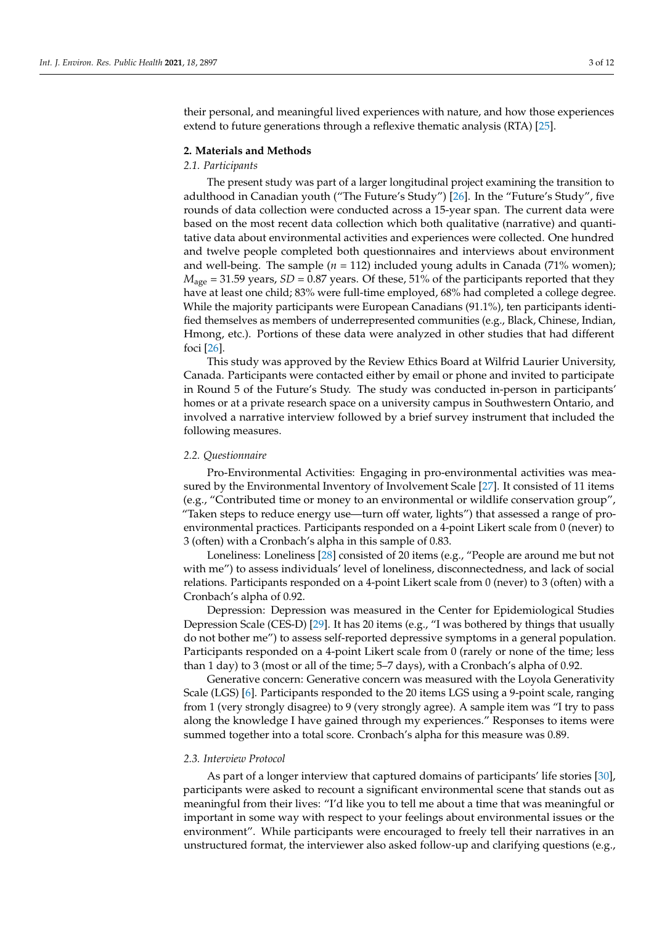their personal, and meaningful lived experiences with nature, and how those experiences extend to future generations through a reflexive thematic analysis (RTA) [\[25\]](#page-10-10).

## **2. Materials and Methods**

## *2.1. Participants*

The present study was part of a larger longitudinal project examining the transition to adulthood in Canadian youth ("The Future's Study") [\[26\]](#page-10-11). In the "Future's Study", five rounds of data collection were conducted across a 15-year span. The current data were based on the most recent data collection which both qualitative (narrative) and quantitative data about environmental activities and experiences were collected. One hundred and twelve people completed both questionnaires and interviews about environment and well-being. The sample  $(n = 112)$  included young adults in Canada (71% women);  $M_{\text{age}} = 31.59$  years,  $SD = 0.87$  years. Of these, 51% of the participants reported that they have at least one child; 83% were full-time employed, 68% had completed a college degree. While the majority participants were European Canadians (91.1%), ten participants identified themselves as members of underrepresented communities (e.g., Black, Chinese, Indian, Hmong, etc.). Portions of these data were analyzed in other studies that had different foci [\[26\]](#page-10-11).

This study was approved by the Review Ethics Board at Wilfrid Laurier University, Canada. Participants were contacted either by email or phone and invited to participate in Round 5 of the Future's Study. The study was conducted in-person in participants' homes or at a private research space on a university campus in Southwestern Ontario, and involved a narrative interview followed by a brief survey instrument that included the following measures.

#### *2.2. Questionnaire*

Pro-Environmental Activities: Engaging in pro-environmental activities was measured by the Environmental Inventory of Involvement Scale [\[27\]](#page-10-12). It consisted of 11 items (e.g., "Contributed time or money to an environmental or wildlife conservation group", "Taken steps to reduce energy use—turn off water, lights") that assessed a range of proenvironmental practices. Participants responded on a 4-point Likert scale from 0 (never) to 3 (often) with a Cronbach's alpha in this sample of 0.83.

Loneliness: Loneliness [\[28\]](#page-10-13) consisted of 20 items (e.g., "People are around me but not with me") to assess individuals' level of loneliness, disconnectedness, and lack of social relations. Participants responded on a 4-point Likert scale from 0 (never) to 3 (often) with a Cronbach's alpha of 0.92.

Depression: Depression was measured in the Center for Epidemiological Studies Depression Scale (CES-D) [\[29\]](#page-10-14). It has 20 items (e.g., "I was bothered by things that usually do not bother me") to assess self-reported depressive symptoms in a general population. Participants responded on a 4-point Likert scale from 0 (rarely or none of the time; less than 1 day) to 3 (most or all of the time; 5–7 days), with a Cronbach's alpha of 0.92.

Generative concern: Generative concern was measured with the Loyola Generativity Scale (LGS) [\[6\]](#page-9-1). Participants responded to the 20 items LGS using a 9-point scale, ranging from 1 (very strongly disagree) to 9 (very strongly agree). A sample item was "I try to pass along the knowledge I have gained through my experiences." Responses to items were summed together into a total score. Cronbach's alpha for this measure was 0.89.

#### *2.3. Interview Protocol*

As part of a longer interview that captured domains of participants' life stories [\[30\]](#page-10-15), participants were asked to recount a significant environmental scene that stands out as meaningful from their lives: "I'd like you to tell me about a time that was meaningful or important in some way with respect to your feelings about environmental issues or the environment". While participants were encouraged to freely tell their narratives in an unstructured format, the interviewer also asked follow-up and clarifying questions (e.g.,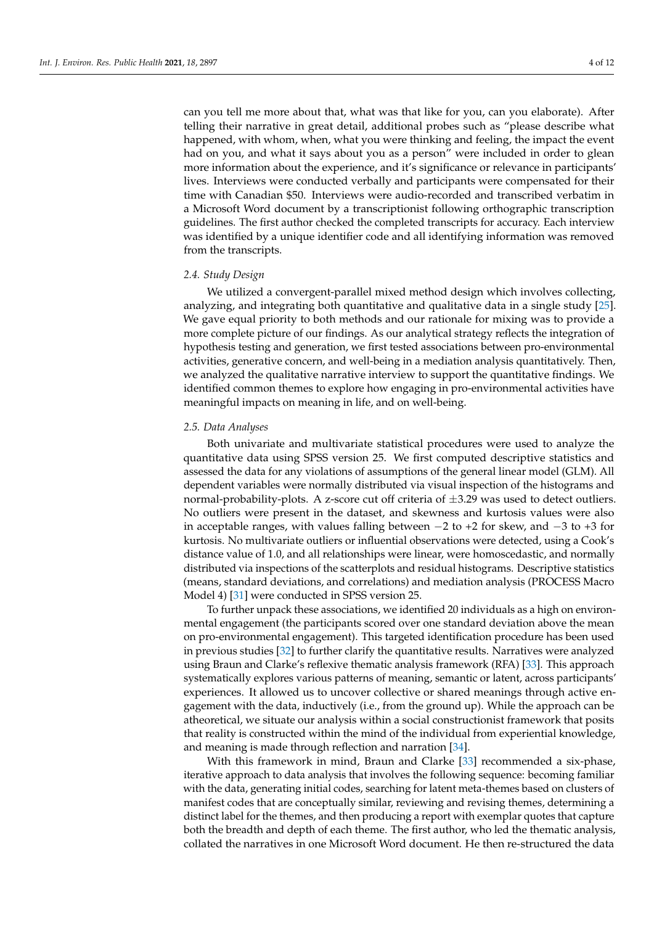can you tell me more about that, what was that like for you, can you elaborate). After telling their narrative in great detail, additional probes such as "please describe what happened, with whom, when, what you were thinking and feeling, the impact the event had on you, and what it says about you as a person" were included in order to glean more information about the experience, and it's significance or relevance in participants' lives. Interviews were conducted verbally and participants were compensated for their time with Canadian \$50. Interviews were audio-recorded and transcribed verbatim in a Microsoft Word document by a transcriptionist following orthographic transcription guidelines. The first author checked the completed transcripts for accuracy. Each interview was identified by a unique identifier code and all identifying information was removed from the transcripts.

## *2.4. Study Design*

We utilized a convergent-parallel mixed method design which involves collecting, analyzing, and integrating both quantitative and qualitative data in a single study [\[25\]](#page-10-10). We gave equal priority to both methods and our rationale for mixing was to provide a more complete picture of our findings. As our analytical strategy reflects the integration of hypothesis testing and generation, we first tested associations between pro-environmental activities, generative concern, and well-being in a mediation analysis quantitatively. Then, we analyzed the qualitative narrative interview to support the quantitative findings. We identified common themes to explore how engaging in pro-environmental activities have meaningful impacts on meaning in life, and on well-being.

## *2.5. Data Analyses*

Both univariate and multivariate statistical procedures were used to analyze the quantitative data using SPSS version 25. We first computed descriptive statistics and assessed the data for any violations of assumptions of the general linear model (GLM). All dependent variables were normally distributed via visual inspection of the histograms and normal-probability-plots. A z-score cut off criteria of  $\pm 3.29$  was used to detect outliers. No outliers were present in the dataset, and skewness and kurtosis values were also in acceptable ranges, with values falling between  $-2$  to  $+2$  for skew, and  $-3$  to  $+3$  for kurtosis. No multivariate outliers or influential observations were detected, using a Cook's distance value of 1.0, and all relationships were linear, were homoscedastic, and normally distributed via inspections of the scatterplots and residual histograms. Descriptive statistics (means, standard deviations, and correlations) and mediation analysis (PROCESS Macro Model 4) [\[31\]](#page-10-16) were conducted in SPSS version 25.

To further unpack these associations, we identified 20 individuals as a high on environmental engagement (the participants scored over one standard deviation above the mean on pro-environmental engagement). This targeted identification procedure has been used in previous studies [\[32\]](#page-10-17) to further clarify the quantitative results. Narratives were analyzed using Braun and Clarke's reflexive thematic analysis framework (RFA) [\[33\]](#page-10-18). This approach systematically explores various patterns of meaning, semantic or latent, across participants' experiences. It allowed us to uncover collective or shared meanings through active engagement with the data, inductively (i.e., from the ground up). While the approach can be atheoretical, we situate our analysis within a social constructionist framework that posits that reality is constructed within the mind of the individual from experiential knowledge, and meaning is made through reflection and narration [\[34\]](#page-10-19).

With this framework in mind, Braun and Clarke [\[33\]](#page-10-18) recommended a six-phase, iterative approach to data analysis that involves the following sequence: becoming familiar with the data, generating initial codes, searching for latent meta-themes based on clusters of manifest codes that are conceptually similar, reviewing and revising themes, determining a distinct label for the themes, and then producing a report with exemplar quotes that capture both the breadth and depth of each theme. The first author, who led the thematic analysis, collated the narratives in one Microsoft Word document. He then re-structured the data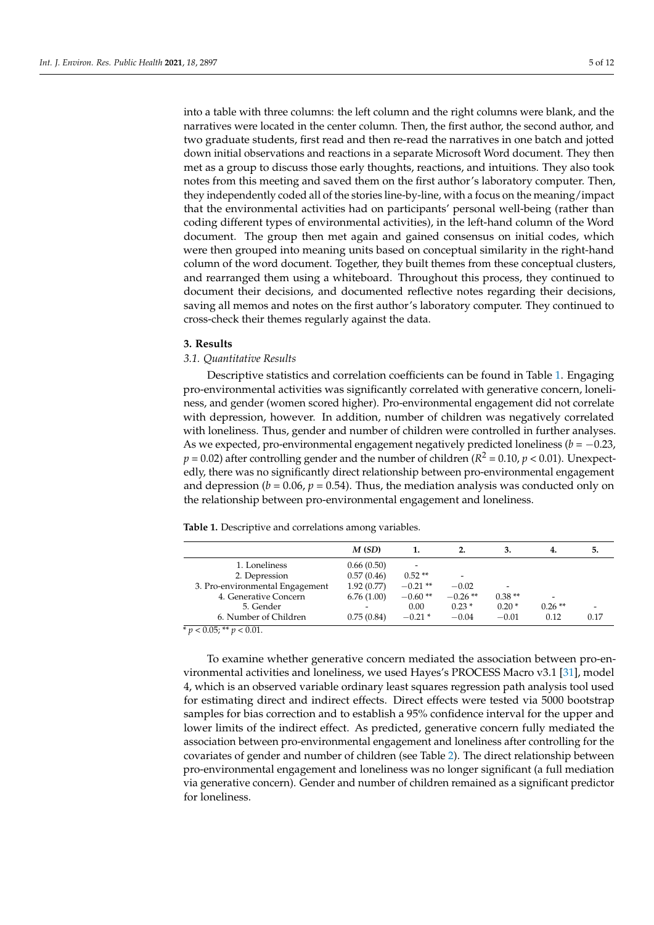into a table with three columns: the left column and the right columns were blank, and the narratives were located in the center column. Then, the first author, the second author, and two graduate students, first read and then re-read the narratives in one batch and jotted down initial observations and reactions in a separate Microsoft Word document. They then met as a group to discuss those early thoughts, reactions, and intuitions. They also took notes from this meeting and saved them on the first author's laboratory computer. Then, they independently coded all of the stories line-by-line, with a focus on the meaning/impact that the environmental activities had on participants' personal well-being (rather than coding different types of environmental activities), in the left-hand column of the Word document. The group then met again and gained consensus on initial codes, which were then grouped into meaning units based on conceptual similarity in the right-hand column of the word document. Together, they built themes from these conceptual clusters, and rearranged them using a whiteboard. Throughout this process, they continued to document their decisions, and documented reflective notes regarding their decisions, saving all memos and notes on the first author's laboratory computer. They continued to cross-check their themes regularly against the data.

#### **3. Results**

# *3.1. Quantitative Results*

Descriptive statistics and correlation coefficients can be found in Table [1.](#page-4-0) Engaging pro-environmental activities was significantly correlated with generative concern, loneliness, and gender (women scored higher). Pro-environmental engagement did not correlate with depression, however. In addition, number of children was negatively correlated with loneliness. Thus, gender and number of children were controlled in further analyses. As we expected, pro-environmental engagement negatively predicted loneliness ( $b = -0.23$ ,  $p = 0.02$ ) after controlling gender and the number of children ( $R^2 = 0.10$ ,  $p < 0.01$ ). Unexpectedly, there was no significantly direct relationship between pro-environmental engagement and depression ( $b = 0.06$ ,  $p = 0.54$ ). Thus, the mediation analysis was conducted only on the relationship between pro-environmental engagement and loneliness.

<span id="page-4-0"></span>**Table 1.** Descriptive and correlations among variables.

| M(SD)      |           |                          | 3.       | 4.       | 5.   |
|------------|-----------|--------------------------|----------|----------|------|
| 0.66(0.50) | -         |                          |          |          |      |
| 0.57(0.46) | $0.52**$  | $\overline{\phantom{a}}$ |          |          |      |
| 1.92(0.77) | $-0.21**$ | $-0.02$                  | -        |          |      |
| 6.76(1.00) | $-0.60**$ | $-0.26**$                | $0.38**$ | -        |      |
|            | 0.00      | $0.23*$                  | $0.20*$  | $0.26**$ | -    |
| 0.75(0.84) | $-0.21*$  | $-0.04$                  | $-0.01$  | 0.12     | 0.17 |
|            |           |                          |          |          |      |

 $p < 0.05; ** p < 0.01.$ 

To examine whether generative concern mediated the association between pro-environmental activities and loneliness, we used Hayes's PROCESS Macro v3.1 [\[31\]](#page-10-16), model 4, which is an observed variable ordinary least squares regression path analysis tool used for estimating direct and indirect effects. Direct effects were tested via 5000 bootstrap samples for bias correction and to establish a 95% confidence interval for the upper and lower limits of the indirect effect. As predicted, generative concern fully mediated the association between pro-environmental engagement and loneliness after controlling for the covariates of gender and number of children (see Table [2\)](#page-5-0). The direct relationship between pro-environmental engagement and loneliness was no longer significant (a full mediation via generative concern). Gender and number of children remained as a significant predictor for loneliness.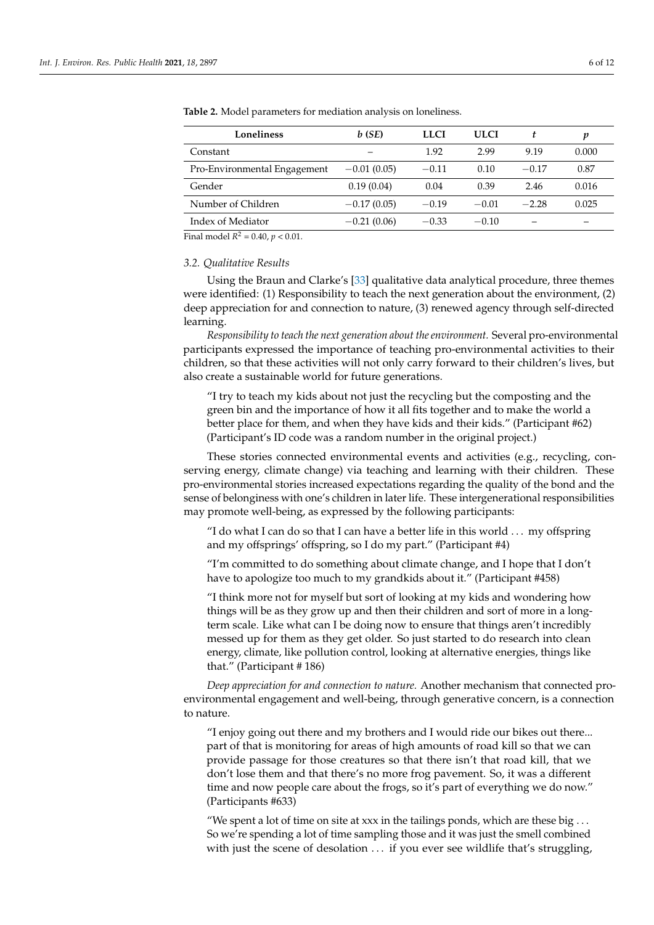| Loneliness                   | b(SE)         | <b>LLCI</b> | <b>ULCI</b> | t       | p     |
|------------------------------|---------------|-------------|-------------|---------|-------|
| Constant                     |               | 1.92        | 2.99        | 9.19    | 0.000 |
| Pro-Environmental Engagement | $-0.01(0.05)$ | $-0.11$     | 0.10        | $-0.17$ | 0.87  |
| Gender                       | 0.19(0.04)    | 0.04        | 0.39        | 2.46    | 0.016 |
| Number of Children           | $-0.17(0.05)$ | $-0.19$     | $-0.01$     | $-2.28$ | 0.025 |
| Index of Mediator            | $-0.21(0.06)$ | $-0.33$     | $-0.10$     |         |       |

<span id="page-5-0"></span>**Table 2.** Model parameters for mediation analysis on loneliness.

Final model  $R^2 = 0.40$ ,  $p < 0.01$ .

## *3.2. Qualitative Results*

Using the Braun and Clarke's [\[33\]](#page-10-18) qualitative data analytical procedure, three themes were identified: (1) Responsibility to teach the next generation about the environment, (2) deep appreciation for and connection to nature, (3) renewed agency through self-directed learning.

*Responsibility to teach the next generation about the environment.* Several pro-environmental participants expressed the importance of teaching pro-environmental activities to their children, so that these activities will not only carry forward to their children's lives, but also create a sustainable world for future generations.

"I try to teach my kids about not just the recycling but the composting and the green bin and the importance of how it all fits together and to make the world a better place for them, and when they have kids and their kids." (Participant #62) (Participant's ID code was a random number in the original project.)

These stories connected environmental events and activities (e.g., recycling, conserving energy, climate change) via teaching and learning with their children. These pro-environmental stories increased expectations regarding the quality of the bond and the sense of belonginess with one's children in later life. These intergenerational responsibilities may promote well-being, as expressed by the following participants:

"I do what I can do so that I can have a better life in this world . . . my offspring and my offsprings' offspring, so I do my part." (Participant #4)

"I'm committed to do something about climate change, and I hope that I don't have to apologize too much to my grandkids about it." (Participant #458)

"I think more not for myself but sort of looking at my kids and wondering how things will be as they grow up and then their children and sort of more in a longterm scale. Like what can I be doing now to ensure that things aren't incredibly messed up for them as they get older. So just started to do research into clean energy, climate, like pollution control, looking at alternative energies, things like that." (Participant # 186)

*Deep appreciation for and connection to nature.* Another mechanism that connected proenvironmental engagement and well-being, through generative concern, is a connection to nature.

"I enjoy going out there and my brothers and I would ride our bikes out there... part of that is monitoring for areas of high amounts of road kill so that we can provide passage for those creatures so that there isn't that road kill, that we don't lose them and that there's no more frog pavement. So, it was a different time and now people care about the frogs, so it's part of everything we do now." (Participants #633)

"We spent a lot of time on site at xxx in the tailings ponds, which are these big  $\dots$ So we're spending a lot of time sampling those and it was just the smell combined with just the scene of desolation ... if you ever see wildlife that's struggling,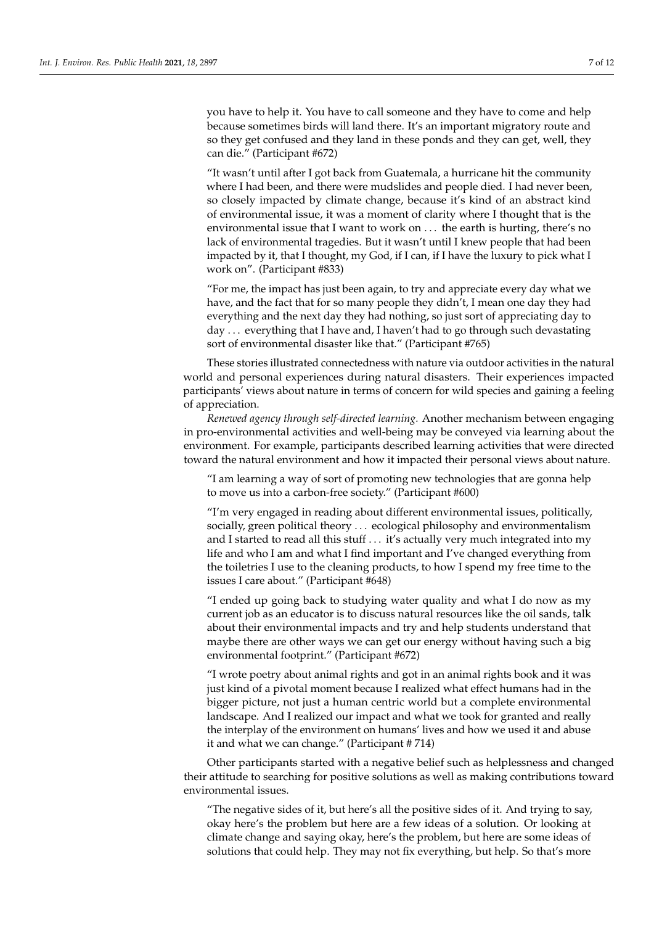you have to help it. You have to call someone and they have to come and help because sometimes birds will land there. It's an important migratory route and so they get confused and they land in these ponds and they can get, well, they can die." (Participant #672)

"It wasn't until after I got back from Guatemala, a hurricane hit the community where I had been, and there were mudslides and people died. I had never been, so closely impacted by climate change, because it's kind of an abstract kind of environmental issue, it was a moment of clarity where I thought that is the environmental issue that I want to work on . . . the earth is hurting, there's no lack of environmental tragedies. But it wasn't until I knew people that had been impacted by it, that I thought, my God, if I can, if I have the luxury to pick what I work on". (Participant #833)

"For me, the impact has just been again, to try and appreciate every day what we have, and the fact that for so many people they didn't, I mean one day they had everything and the next day they had nothing, so just sort of appreciating day to day . . . everything that I have and, I haven't had to go through such devastating sort of environmental disaster like that." (Participant #765)

These stories illustrated connectedness with nature via outdoor activities in the natural world and personal experiences during natural disasters. Their experiences impacted participants' views about nature in terms of concern for wild species and gaining a feeling of appreciation.

*Renewed agency through self-directed learning.* Another mechanism between engaging in pro-environmental activities and well-being may be conveyed via learning about the environment. For example, participants described learning activities that were directed toward the natural environment and how it impacted their personal views about nature.

"I am learning a way of sort of promoting new technologies that are gonna help to move us into a carbon-free society." (Participant #600)

"I'm very engaged in reading about different environmental issues, politically, socially, green political theory . . . ecological philosophy and environmentalism and I started to read all this stuff . . . it's actually very much integrated into my life and who I am and what I find important and I've changed everything from the toiletries I use to the cleaning products, to how I spend my free time to the issues I care about." (Participant #648)

"I ended up going back to studying water quality and what I do now as my current job as an educator is to discuss natural resources like the oil sands, talk about their environmental impacts and try and help students understand that maybe there are other ways we can get our energy without having such a big environmental footprint." (Participant #672)

"I wrote poetry about animal rights and got in an animal rights book and it was just kind of a pivotal moment because I realized what effect humans had in the bigger picture, not just a human centric world but a complete environmental landscape. And I realized our impact and what we took for granted and really the interplay of the environment on humans' lives and how we used it and abuse it and what we can change." (Participant # 714)

Other participants started with a negative belief such as helplessness and changed their attitude to searching for positive solutions as well as making contributions toward environmental issues.

"The negative sides of it, but here's all the positive sides of it. And trying to say, okay here's the problem but here are a few ideas of a solution. Or looking at climate change and saying okay, here's the problem, but here are some ideas of solutions that could help. They may not fix everything, but help. So that's more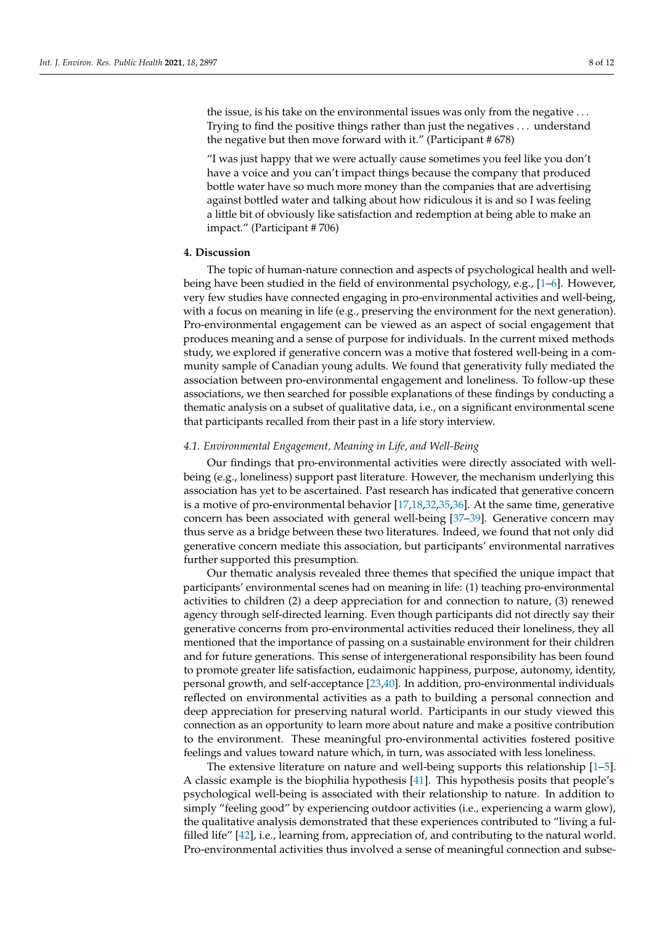the issue, is his take on the environmental issues was only from the negative . . . Trying to find the positive things rather than just the negatives . . . understand the negative but then move forward with it." (Participant # 678)

"I was just happy that we were actually cause sometimes you feel like you don't have a voice and you can't impact things because the company that produced bottle water have so much more money than the companies that are advertising against bottled water and talking about how ridiculous it is and so I was feeling a little bit of obviously like satisfaction and redemption at being able to make an impact." (Participant # 706)

# **4. Discussion**

The topic of human-nature connection and aspects of psychological health and wellbeing have been studied in the field of environmental psychology, e.g., [\[1](#page-9-0)[–6\]](#page-9-1). However, very few studies have connected engaging in pro-environmental activities and well-being, with a focus on meaning in life (e.g., preserving the environment for the next generation). Pro-environmental engagement can be viewed as an aspect of social engagement that produces meaning and a sense of purpose for individuals. In the current mixed methods study, we explored if generative concern was a motive that fostered well-being in a community sample of Canadian young adults. We found that generativity fully mediated the association between pro-environmental engagement and loneliness. To follow-up these associations, we then searched for possible explanations of these findings by conducting a thematic analysis on a subset of qualitative data, i.e., on a significant environmental scene that participants recalled from their past in a life story interview.

## *4.1. Environmental Engagement, Meaning in Life, and Well-Being*

Our findings that pro-environmental activities were directly associated with wellbeing (e.g., loneliness) support past literature. However, the mechanism underlying this association has yet to be ascertained. Past research has indicated that generative concern is a motive of pro-environmental behavior  $[17,18,32,35,36]$  $[17,18,32,35,36]$  $[17,18,32,35,36]$  $[17,18,32,35,36]$  $[17,18,32,35,36]$ . At the same time, generative concern has been associated with general well-being [\[37–](#page-10-22)[39\]](#page-10-23). Generative concern may thus serve as a bridge between these two literatures. Indeed, we found that not only did generative concern mediate this association, but participants' environmental narratives further supported this presumption.

Our thematic analysis revealed three themes that specified the unique impact that participants' environmental scenes had on meaning in life: (1) teaching pro-environmental activities to children (2) a deep appreciation for and connection to nature, (3) renewed agency through self-directed learning. Even though participants did not directly say their generative concerns from pro-environmental activities reduced their loneliness, they all mentioned that the importance of passing on a sustainable environment for their children and for future generations. This sense of intergenerational responsibility has been found to promote greater life satisfaction, eudaimonic happiness, purpose, autonomy, identity, personal growth, and self-acceptance [\[23](#page-10-8)[,40\]](#page-10-24). In addition, pro-environmental individuals reflected on environmental activities as a path to building a personal connection and deep appreciation for preserving natural world. Participants in our study viewed this connection as an opportunity to learn more about nature and make a positive contribution to the environment. These meaningful pro-environmental activities fostered positive feelings and values toward nature which, in turn, was associated with less loneliness.

The extensive literature on nature and well-being supports this relationship [\[1](#page-9-0)[–5\]](#page-9-9). A classic example is the biophilia hypothesis [\[41\]](#page-10-25). This hypothesis posits that people's psychological well-being is associated with their relationship to nature. In addition to simply "feeling good" by experiencing outdoor activities (i.e., experiencing a warm glow), the qualitative analysis demonstrated that these experiences contributed to "living a fulfilled life" [\[42\]](#page-10-26), i.e., learning from, appreciation of, and contributing to the natural world. Pro-environmental activities thus involved a sense of meaningful connection and subse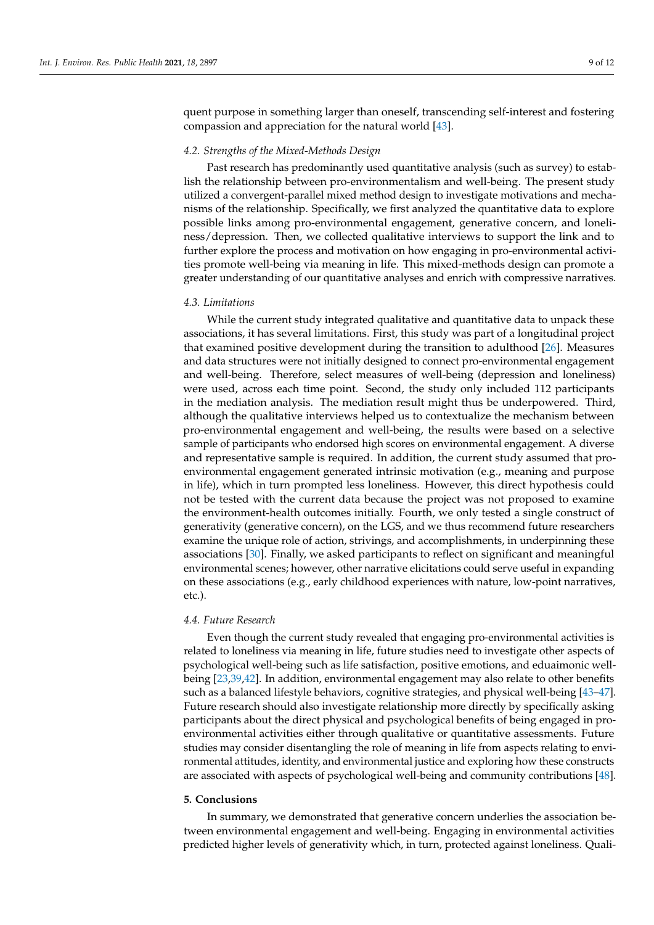quent purpose in something larger than oneself, transcending self-interest and fostering compassion and appreciation for the natural world [\[43\]](#page-10-27).

## *4.2. Strengths of the Mixed-Methods Design*

Past research has predominantly used quantitative analysis (such as survey) to establish the relationship between pro-environmentalism and well-being. The present study utilized a convergent-parallel mixed method design to investigate motivations and mechanisms of the relationship. Specifically, we first analyzed the quantitative data to explore possible links among pro-environmental engagement, generative concern, and loneliness/depression. Then, we collected qualitative interviews to support the link and to further explore the process and motivation on how engaging in pro-environmental activities promote well-being via meaning in life. This mixed-methods design can promote a greater understanding of our quantitative analyses and enrich with compressive narratives.

#### *4.3. Limitations*

While the current study integrated qualitative and quantitative data to unpack these associations, it has several limitations. First, this study was part of a longitudinal project that examined positive development during the transition to adulthood [\[26\]](#page-10-11). Measures and data structures were not initially designed to connect pro-environmental engagement and well-being. Therefore, select measures of well-being (depression and loneliness) were used, across each time point. Second, the study only included 112 participants in the mediation analysis. The mediation result might thus be underpowered. Third, although the qualitative interviews helped us to contextualize the mechanism between pro-environmental engagement and well-being, the results were based on a selective sample of participants who endorsed high scores on environmental engagement. A diverse and representative sample is required. In addition, the current study assumed that proenvironmental engagement generated intrinsic motivation (e.g., meaning and purpose in life), which in turn prompted less loneliness. However, this direct hypothesis could not be tested with the current data because the project was not proposed to examine the environment-health outcomes initially. Fourth, we only tested a single construct of generativity (generative concern), on the LGS, and we thus recommend future researchers examine the unique role of action, strivings, and accomplishments, in underpinning these associations [\[30\]](#page-10-15). Finally, we asked participants to reflect on significant and meaningful environmental scenes; however, other narrative elicitations could serve useful in expanding on these associations (e.g., early childhood experiences with nature, low-point narratives, etc.).

## *4.4. Future Research*

Even though the current study revealed that engaging pro-environmental activities is related to loneliness via meaning in life, future studies need to investigate other aspects of psychological well-being such as life satisfaction, positive emotions, and eduaimonic wellbeing [\[23,](#page-10-8)[39,](#page-10-23)[42\]](#page-10-26). In addition, environmental engagement may also relate to other benefits such as a balanced lifestyle behaviors, cognitive strategies, and physical well-being [\[43](#page-10-27)[–47\]](#page-11-0). Future research should also investigate relationship more directly by specifically asking participants about the direct physical and psychological benefits of being engaged in proenvironmental activities either through qualitative or quantitative assessments. Future studies may consider disentangling the role of meaning in life from aspects relating to environmental attitudes, identity, and environmental justice and exploring how these constructs are associated with aspects of psychological well-being and community contributions [\[48\]](#page-11-1).

## **5. Conclusions**

In summary, we demonstrated that generative concern underlies the association between environmental engagement and well-being. Engaging in environmental activities predicted higher levels of generativity which, in turn, protected against loneliness. Quali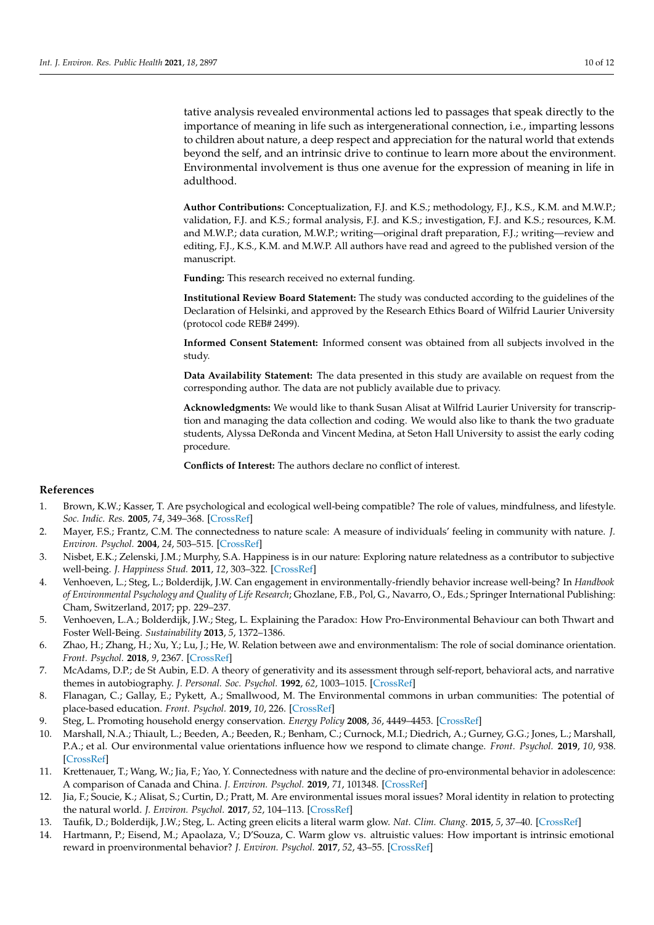tative analysis revealed environmental actions led to passages that speak directly to the importance of meaning in life such as intergenerational connection, i.e., imparting lessons to children about nature, a deep respect and appreciation for the natural world that extends beyond the self, and an intrinsic drive to continue to learn more about the environment. Environmental involvement is thus one avenue for the expression of meaning in life in adulthood.

**Author Contributions:** Conceptualization, F.J. and K.S.; methodology, F.J., K.S., K.M. and M.W.P.; validation, F.J. and K.S.; formal analysis, F.J. and K.S.; investigation, F.J. and K.S.; resources, K.M. and M.W.P.; data curation, M.W.P.; writing—original draft preparation, F.J.; writing—review and editing, F.J., K.S., K.M. and M.W.P. All authors have read and agreed to the published version of the manuscript.

**Funding:** This research received no external funding.

**Institutional Review Board Statement:** The study was conducted according to the guidelines of the Declaration of Helsinki, and approved by the Research Ethics Board of Wilfrid Laurier University (protocol code REB# 2499).

**Informed Consent Statement:** Informed consent was obtained from all subjects involved in the study.

**Data Availability Statement:** The data presented in this study are available on request from the corresponding author. The data are not publicly available due to privacy.

**Acknowledgments:** We would like to thank Susan Alisat at Wilfrid Laurier University for transcription and managing the data collection and coding. We would also like to thank the two graduate students, Alyssa DeRonda and Vincent Medina, at Seton Hall University to assist the early coding procedure.

**Conflicts of Interest:** The authors declare no conflict of interest.

# **References**

- <span id="page-9-0"></span>1. Brown, K.W.; Kasser, T. Are psychological and ecological well-being compatible? The role of values, mindfulness, and lifestyle. *Soc. Indic. Res.* **2005**, *74*, 349–368. [\[CrossRef\]](http://doi.org/10.1007/s11205-004-8207-8)
- 2. Mayer, F.S.; Frantz, C.M. The connectedness to nature scale: A measure of individuals' feeling in community with nature. *J. Environ. Psychol.* **2004**, *24*, 503–515. [\[CrossRef\]](http://doi.org/10.1016/j.jenvp.2004.10.001)
- <span id="page-9-8"></span>3. Nisbet, E.K.; Zelenski, J.M.; Murphy, S.A. Happiness is in our nature: Exploring nature relatedness as a contributor to subjective well-being. *J. Happiness Stud.* **2011**, *12*, 303–322. [\[CrossRef\]](http://doi.org/10.1007/s10902-010-9197-7)
- 4. Venhoeven, L.; Steg, L.; Bolderdijk, J.W. Can engagement in environmentally-friendly behavior increase well-being? In *Handbook of Environmental Psychology and Quality of Life Research*; Ghozlane, F.B., Pol, G., Navarro, O., Eds.; Springer International Publishing: Cham, Switzerland, 2017; pp. 229–237.
- <span id="page-9-9"></span>5. Venhoeven, L.A.; Bolderdijk, J.W.; Steg, L. Explaining the Paradox: How Pro-Environmental Behaviour can both Thwart and Foster Well-Being. *Sustainability* **2013**, *5*, 1372–1386.
- <span id="page-9-1"></span>6. Zhao, H.; Zhang, H.; Xu, Y.; Lu, J.; He, W. Relation between awe and environmentalism: The role of social dominance orientation. *Front. Psychol.* **2018**, *9*, 2367. [\[CrossRef\]](http://doi.org/10.3389/fpsyg.2018.02367)
- <span id="page-9-2"></span>7. McAdams, D.P.; de St Aubin, E.D. A theory of generativity and its assessment through self-report, behavioral acts, and narrative themes in autobiography. *J. Personal. Soc. Psychol.* **1992**, *62*, 1003–1015. [\[CrossRef\]](http://doi.org/10.1037/0022-3514.62.6.1003)
- <span id="page-9-3"></span>8. Flanagan, C.; Gallay, E.; Pykett, A.; Smallwood, M. The Environmental commons in urban communities: The potential of place-based education. *Front. Psychol.* **2019**, *10*, 226. [\[CrossRef\]](http://doi.org/10.3389/fpsyg.2019.00226)
- <span id="page-9-4"></span>9. Steg, L. Promoting household energy conservation. *Energy Policy* **2008**, *36*, 4449–4453. [\[CrossRef\]](http://doi.org/10.1016/j.enpol.2008.09.027)
- <span id="page-9-5"></span>10. Marshall, N.A.; Thiault, L.; Beeden, A.; Beeden, R.; Benham, C.; Curnock, M.I.; Diedrich, A.; Gurney, G.G.; Jones, L.; Marshall, P.A.; et al. Our environmental value orientations influence how we respond to climate change. *Front. Psychol.* **2019**, *10*, 938. [\[CrossRef\]](http://doi.org/10.3389/fpsyg.2019.00938)
- <span id="page-9-6"></span>11. Krettenauer, T.; Wang, W.; Jia, F.; Yao, Y. Connectedness with nature and the decline of pro-environmental behavior in adolescence: A comparison of Canada and China. *J. Environ. Psychol.* **2019**, *71*, 101348. [\[CrossRef\]](http://doi.org/10.1016/j.jenvp.2019.101348)
- <span id="page-9-7"></span>12. Jia, F.; Soucie, K.; Alisat, S.; Curtin, D.; Pratt, M. Are environmental issues moral issues? Moral identity in relation to protecting the natural world. *J. Environ. Psychol.* **2017**, *52*, 104–113. [\[CrossRef\]](http://doi.org/10.1016/j.jenvp.2017.06.004)
- <span id="page-9-10"></span>13. Taufik, D.; Bolderdijk, J.W.; Steg, L. Acting green elicits a literal warm glow. *Nat. Clim. Chang.* **2015**, *5*, 37–40. [\[CrossRef\]](http://doi.org/10.1038/nclimate2449)
- <span id="page-9-11"></span>14. Hartmann, P.; Eisend, M.; Apaolaza, V.; D'Souza, C. Warm glow vs. altruistic values: How important is intrinsic emotional reward in proenvironmental behavior? *J. Environ. Psychol.* **2017**, *52*, 43–55. [\[CrossRef\]](http://doi.org/10.1016/j.jenvp.2017.05.006)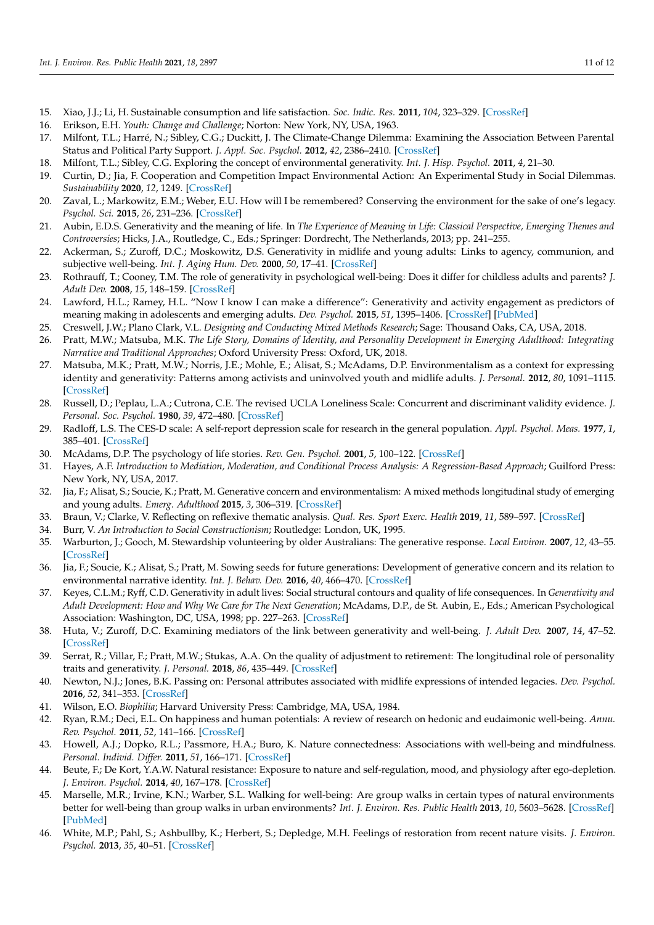- <span id="page-10-0"></span>15. Xiao, J.J.; Li, H. Sustainable consumption and life satisfaction. *Soc. Indic. Res.* **2011**, *104*, 323–329. [\[CrossRef\]](http://doi.org/10.1007/s11205-010-9746-9)
- <span id="page-10-1"></span>16. Erikson, E.H. *Youth: Change and Challenge*; Norton: New York, NY, USA, 1963.
- <span id="page-10-2"></span>17. Milfont, T.L.; Harré, N.; Sibley, C.G.; Duckitt, J. The Climate-Change Dilemma: Examining the Association Between Parental Status and Political Party Support. *J. Appl. Soc. Psychol.* **2012**, *42*, 2386–2410. [\[CrossRef\]](http://doi.org/10.1111/j.1559-1816.2012.00946.x)
- <span id="page-10-3"></span>18. Milfont, T.L.; Sibley, C.G. Exploring the concept of environmental generativity. *Int. J. Hisp. Psychol.* **2011**, *4*, 21–30.
- <span id="page-10-4"></span>19. Curtin, D.; Jia, F. Cooperation and Competition Impact Environmental Action: An Experimental Study in Social Dilemmas. *Sustainability* **2020**, *12*, 1249. [\[CrossRef\]](http://doi.org/10.3390/su12031249)
- <span id="page-10-5"></span>20. Zaval, L.; Markowitz, E.M.; Weber, E.U. How will I be remembered? Conserving the environment for the sake of one's legacy. *Psychol. Sci.* **2015**, *26*, 231–236. [\[CrossRef\]](http://doi.org/10.1177/0956797614561266)
- <span id="page-10-6"></span>21. Aubin, E.D.S. Generativity and the meaning of life. In *The Experience of Meaning in Life: Classical Perspective, Emerging Themes and Controversies*; Hicks, J.A., Routledge, C., Eds.; Springer: Dordrecht, The Netherlands, 2013; pp. 241–255.
- <span id="page-10-7"></span>22. Ackerman, S.; Zuroff, D.C.; Moskowitz, D.S. Generativity in midlife and young adults: Links to agency, communion, and subjective well-being. *Int. J. Aging Hum. Dev.* **2000**, *50*, 17–41. [\[CrossRef\]](http://doi.org/10.2190/2F9F51-LR6T-JHRJ-2QW6)
- <span id="page-10-8"></span>23. Rothrauff, T.; Cooney, T.M. The role of generativity in psychological well-being: Does it differ for childless adults and parents? *J. Adult Dev.* **2008**, *15*, 148–159. [\[CrossRef\]](http://doi.org/10.1007/s10804-008-9046-7)
- <span id="page-10-9"></span>24. Lawford, H.L.; Ramey, H.L. "Now I know I can make a difference": Generativity and activity engagement as predictors of meaning making in adolescents and emerging adults. *Dev. Psychol.* **2015**, *51*, 1395–1406. [\[CrossRef\]](http://doi.org/10.1037/dev0000034) [\[PubMed\]](http://www.ncbi.nlm.nih.gov/pubmed/26214225)
- <span id="page-10-10"></span>25. Creswell, J.W.; Plano Clark, V.L. *Designing and Conducting Mixed Methods Research*; Sage: Thousand Oaks, CA, USA, 2018.
- <span id="page-10-11"></span>26. Pratt, M.W.; Matsuba, M.K. *The Life Story, Domains of Identity, and Personality Development in Emerging Adulthood: Integrating Narrative and Traditional Approaches*; Oxford University Press: Oxford, UK, 2018.
- <span id="page-10-12"></span>27. Matsuba, M.K.; Pratt, M.W.; Norris, J.E.; Mohle, E.; Alisat, S.; McAdams, D.P. Environmentalism as a context for expressing identity and generativity: Patterns among activists and uninvolved youth and midlife adults. *J. Personal.* **2012**, *80*, 1091–1115. [\[CrossRef\]](http://doi.org/10.1111/j.1467-6494.2012.00765.x)
- <span id="page-10-13"></span>28. Russell, D.; Peplau, L.A.; Cutrona, C.E. The revised UCLA Loneliness Scale: Concurrent and discriminant validity evidence. *J. Personal. Soc. Psychol.* **1980**, *39*, 472–480. [\[CrossRef\]](http://doi.org/10.1037/0022-3514.39.3.472)
- <span id="page-10-14"></span>29. Radloff, L.S. The CES-D scale: A self-report depression scale for research in the general population. *Appl. Psychol. Meas.* **1977**, *1*, 385–401. [\[CrossRef\]](http://doi.org/10.1177/014662167700100306)
- <span id="page-10-15"></span>30. McAdams, D.P. The psychology of life stories. *Rev. Gen. Psychol.* **2001**, *5*, 100–122. [\[CrossRef\]](http://doi.org/10.1037/1089-2680.5.2.100)
- <span id="page-10-16"></span>31. Hayes, A.F. *Introduction to Mediation, Moderation, and Conditional Process Analysis: A Regression-Based Approach*; Guilford Press: New York, NY, USA, 2017.
- <span id="page-10-17"></span>32. Jia, F.; Alisat, S.; Soucie, K.; Pratt, M. Generative concern and environmentalism: A mixed methods longitudinal study of emerging and young adults. *Emerg. Adulthood* **2015**, *3*, 306–319. [\[CrossRef\]](http://doi.org/10.1177/2167696815578338)
- <span id="page-10-18"></span>33. Braun, V.; Clarke, V. Reflecting on reflexive thematic analysis. *Qual. Res. Sport Exerc. Health* **2019**, *11*, 589–597. [\[CrossRef\]](http://doi.org/10.1080/2159676X.2019.1628806)
- <span id="page-10-19"></span>34. Burr, V. *An Introduction to Social Constructionism*; Routledge: London, UK, 1995.
- <span id="page-10-20"></span>35. Warburton, J.; Gooch, M. Stewardship volunteering by older Australians: The generative response. *Local Environ.* **2007**, *12*, 43–55. [\[CrossRef\]](http://doi.org/10.1080/13549830601098230)
- <span id="page-10-21"></span>36. Jia, F.; Soucie, K.; Alisat, S.; Pratt, M. Sowing seeds for future generations: Development of generative concern and its relation to environmental narrative identity. *Int. J. Behav. Dev.* **2016**, *40*, 466–470. [\[CrossRef\]](http://doi.org/10.1177/0165025415611260)
- <span id="page-10-22"></span>37. Keyes, C.L.M.; Ryff, C.D. Generativity in adult lives: Social structural contours and quality of life consequences. In *Generativity and Adult Development: How and Why We Care for The Next Generation*; McAdams, D.P., de St. Aubin, E., Eds.; American Psychological Association: Washington, DC, USA, 1998; pp. 227–263. [\[CrossRef\]](http://doi.org/10.1037/10288-007)
- 38. Huta, V.; Zuroff, D.C. Examining mediators of the link between generativity and well-being. *J. Adult Dev.* **2007**, *14*, 47–52. [\[CrossRef\]](http://doi.org/10.1007/s10804-007-9030-7)
- <span id="page-10-23"></span>39. Serrat, R.; Villar, F.; Pratt, M.W.; Stukas, A.A. On the quality of adjustment to retirement: The longitudinal role of personality traits and generativity. *J. Personal.* **2018**, *86*, 435–449. [\[CrossRef\]](http://doi.org/10.1111/jopy.12326)
- <span id="page-10-24"></span>40. Newton, N.J.; Jones, B.K. Passing on: Personal attributes associated with midlife expressions of intended legacies. *Dev. Psychol.* **2016**, *52*, 341–353. [\[CrossRef\]](http://doi.org/10.1037/a0039905)
- <span id="page-10-25"></span>41. Wilson, E.O. *Biophilia*; Harvard University Press: Cambridge, MA, USA, 1984.
- <span id="page-10-26"></span>42. Ryan, R.M.; Deci, E.L. On happiness and human potentials: A review of research on hedonic and eudaimonic well-being. *Annu. Rev. Psychol.* **2011**, *52*, 141–166. [\[CrossRef\]](http://doi.org/10.1146/annurev.psych.52.1.141)
- <span id="page-10-27"></span>43. Howell, A.J.; Dopko, R.L.; Passmore, H.A.; Buro, K. Nature connectedness: Associations with well-being and mindfulness. *Personal. Individ. Differ.* **2011**, *51*, 166–171. [\[CrossRef\]](http://doi.org/10.1016/j.paid.2011.03.037)
- Beute, F.; De Kort, Y.A.W. Natural resistance: Exposure to nature and self-regulation, mood, and physiology after ego-depletion. *J. Environ. Psychol.* **2014**, *40*, 167–178. [\[CrossRef\]](http://doi.org/10.1016/j.jenvp.2014.06.004)
- 45. Marselle, M.R.; Irvine, K.N.; Warber, S.L. Walking for well-being: Are group walks in certain types of natural environments better for well-being than group walks in urban environments? *Int. J. Environ. Res. Public Health* **2013**, *10*, 5603–5628. [\[CrossRef\]](http://doi.org/10.3390/ijerph10115603) [\[PubMed\]](http://www.ncbi.nlm.nih.gov/pubmed/24173142)
- 46. White, M.P.; Pahl, S.; Ashbullby, K.; Herbert, S.; Depledge, M.H. Feelings of restoration from recent nature visits. *J. Environ. Psychol.* **2013**, *35*, 40–51. [\[CrossRef\]](http://doi.org/10.1016/j.jenvp.2013.04.002)